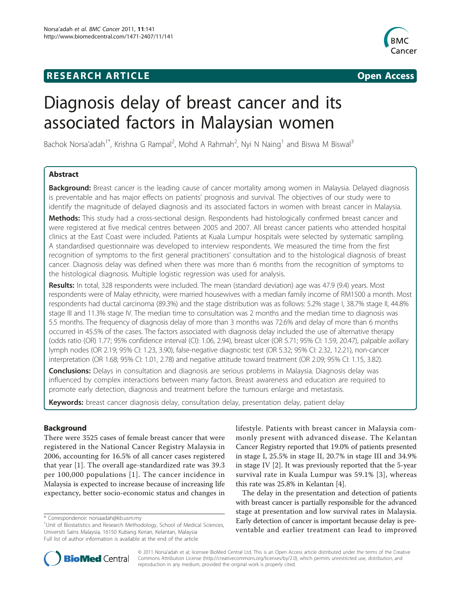## **RESEARCH ARTICLE Example 2014 CONSUMING ACCESS**



# Diagnosis delay of breast cancer and its associated factors in Malaysian women

Bachok Norsa'adah<sup>1\*</sup>, Krishna G Rampal<sup>2</sup>, Mohd A Rahmah<sup>2</sup>, Nyi N Naing<sup>1</sup> and Biswa M Biswal<sup>3</sup>

## Abstract

Background: Breast cancer is the leading cause of cancer mortality among women in Malaysia. Delayed diagnosis is preventable and has major effects on patients' prognosis and survival. The objectives of our study were to identify the magnitude of delayed diagnosis and its associated factors in women with breast cancer in Malaysia.

Methods: This study had a cross-sectional design. Respondents had histologically confirmed breast cancer and were registered at five medical centres between 2005 and 2007. All breast cancer patients who attended hospital clinics at the East Coast were included. Patients at Kuala Lumpur hospitals were selected by systematic sampling. A standardised questionnaire was developed to interview respondents. We measured the time from the first recognition of symptoms to the first general practitioners' consultation and to the histological diagnosis of breast cancer. Diagnosis delay was defined when there was more than 6 months from the recognition of symptoms to the histological diagnosis. Multiple logistic regression was used for analysis.

Results: In total, 328 respondents were included. The mean (standard deviation) age was 47.9 (9.4) years. Most respondents were of Malay ethnicity, were married housewives with a median family income of RM1500 a month. Most respondents had ductal carcinoma (89.3%) and the stage distribution was as follows: 5.2% stage I, 38.7% stage II, 44.8% stage III and 11.3% stage IV. The median time to consultation was 2 months and the median time to diagnosis was 5.5 months. The frequency of diagnosis delay of more than 3 months was 72.6% and delay of more than 6 months occurred in 45.5% of the cases. The factors associated with diagnosis delay included the use of alternative therapy (odds ratio (OR) 1.77; 95% confidence interval (CI): 1.06, 2.94), breast ulcer (OR 5.71; 95% CI: 1.59, 20.47), palpable axillary lymph nodes (OR 2.19; 95% CI: 1.23, 3.90), false-negative diagnostic test (OR 5.32; 95% CI: 2.32, 12.21), non-cancer interpretation (OR 1.68; 95% CI: 1.01, 2.78) and negative attitude toward treatment (OR 2.09; 95% CI: 1.15, 3.82).

**Conclusions:** Delays in consultation and diagnosis are serious problems in Malaysia. Diagnosis delay was influenced by complex interactions between many factors. Breast awareness and education are required to promote early detection, diagnosis and treatment before the tumours enlarge and metastasis.

**Keywords:** breast cancer diagnosis delay, consultation delay, presentation delay, patient delay

## Background

There were 3525 cases of female breast cancer that were registered in the National Cancer Registry Malaysia in 2006, accounting for 16.5% of all cancer cases registered that year [\[1](#page-6-0)]. The overall age-standardized rate was 39.3 per 100,000 populations [[1](#page-6-0)]. The cancer incidence in Malaysia is expected to increase because of increasing life expectancy, better socio-economic status and changes in

lifestyle. Patients with breast cancer in Malaysia commonly present with advanced disease. The Kelantan Cancer Registry reported that 19.0% of patients presented in stage I, 25.5% in stage II, 20.7% in stage III and 34.9% in stage IV [\[2](#page-6-0)]. It was previously reported that the 5-year survival rate in Kuala Lumpur was 59.1% [[3\]](#page-6-0), whereas this rate was 25.8% in Kelantan [\[4](#page-6-0)].

The delay in the presentation and detection of patients with breast cancer is partially responsible for the advanced stage at presentation and low survival rates in Malaysia. Early detection of cancer is important because delay is preventable and earlier treatment can lead to improved



© 2011 Norsa'adah et al; licensee BioMed Central Ltd. This is an Open Access article distributed under the terms of the Creative Commons Attribution License [\(http://creativecommons.org/licenses/by/2.0](http://creativecommons.org/licenses/by/2.0)), which permits unrestricted use, distribution, and reproduction in any medium, provided the original work is properly cited.

<sup>\*</sup> Correspondence: [norsaadah@kb.usm.my](mailto:norsaadah@kb.usm.my)

<sup>&</sup>lt;sup>1</sup>Unit of Biostatistics and Research Methodology, School of Medical Sciences, Universiti Sains Malaysia, 16150 Kubang Kerian, Kelantan, Malaysia Full list of author information is available at the end of the article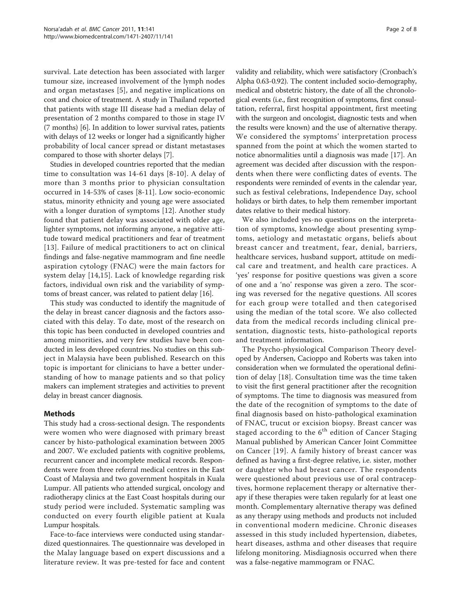survival. Late detection has been associated with larger tumour size, increased involvement of the lymph nodes and organ metastases [\[5](#page-6-0)], and negative implications on cost and choice of treatment. A study in Thailand reported that patients with stage III disease had a median delay of presentation of 2 months compared to those in stage IV (7 months) [[6](#page-6-0)]. In addition to lower survival rates, patients with delays of 12 weeks or longer had a significantly higher probability of local cancer spread or distant metastases compared to those with shorter delays [[7](#page-6-0)].

Studies in developed countries reported that the median time to consultation was 14-61 days [[8-10\]](#page-6-0). A delay of more than 3 months prior to physician consultation occurred in 14-53% of cases [[8](#page-6-0)-[11\]](#page-6-0). Low socio-economic status, minority ethnicity and young age were associated with a longer duration of symptoms [[12](#page-7-0)]. Another study found that patient delay was associated with older age, lighter symptoms, not informing anyone, a negative attitude toward medical practitioners and fear of treatment [[13](#page-7-0)]. Failure of medical practitioners to act on clinical findings and false-negative mammogram and fine needle aspiration cytology (FNAC) were the main factors for system delay [[14](#page-7-0),[15\]](#page-7-0). Lack of knowledge regarding risk factors, individual own risk and the variability of symptoms of breast cancer, was related to patient delay [\[16\]](#page-7-0).

This study was conducted to identify the magnitude of the delay in breast cancer diagnosis and the factors associated with this delay. To date, most of the research on this topic has been conducted in developed countries and among minorities, and very few studies have been conducted in less developed countries. No studies on this subject in Malaysia have been published. Research on this topic is important for clinicians to have a better understanding of how to manage patients and so that policy makers can implement strategies and activities to prevent delay in breast cancer diagnosis.

## Methods

This study had a cross-sectional design. The respondents were women who were diagnosed with primary breast cancer by histo-pathological examination between 2005 and 2007. We excluded patients with cognitive problems, recurrent cancer and incomplete medical records. Respondents were from three referral medical centres in the East Coast of Malaysia and two government hospitals in Kuala Lumpur. All patients who attended surgical, oncology and radiotherapy clinics at the East Coast hospitals during our study period were included. Systematic sampling was conducted on every fourth eligible patient at Kuala Lumpur hospitals.

Face-to-face interviews were conducted using standardized questionnaires. The questionnaire was developed in the Malay language based on expert discussions and a literature review. It was pre-tested for face and content validity and reliability, which were satisfactory (Cronbach's Alpha 0.63-0.92). The content included socio-demography, medical and obstetric history, the date of all the chronological events (i.e., first recognition of symptoms, first consultation, referral, first hospital appointment, first meeting with the surgeon and oncologist, diagnostic tests and when the results were known) and the use of alternative therapy. We considered the symptoms' interpretation process spanned from the point at which the women started to notice abnormalities until a diagnosis was made [[17\]](#page-7-0). An agreement was decided after discussion with the respondents when there were conflicting dates of events. The respondents were reminded of events in the calendar year, such as festival celebrations, Independence Day, school holidays or birth dates, to help them remember important dates relative to their medical history.

We also included yes-no questions on the interpretation of symptoms, knowledge about presenting symptoms, aetiology and metastatic organs, beliefs about breast cancer and treatment, fear, denial, barriers, healthcare services, husband support, attitude on medical care and treatment, and health care practices. A 'yes' response for positive questions was given a score of one and a 'no' response was given a zero. The scoring was reversed for the negative questions. All scores for each group were totalled and then categorised using the median of the total score. We also collected data from the medical records including clinical presentation, diagnostic tests, histo-pathological reports and treatment information.

The Psycho-physiological Comparison Theory developed by Andersen, Cacioppo and Roberts was taken into consideration when we formulated the operational definition of delay [[18](#page-7-0)]. Consultation time was the time taken to visit the first general practitioner after the recognition of symptoms. The time to diagnosis was measured from the date of the recognition of symptoms to the date of final diagnosis based on histo-pathological examination of FNAC, trucut or excision biopsy. Breast cancer was staged according to the  $6<sup>th</sup>$  edition of Cancer Staging Manual published by American Cancer Joint Committee on Cancer [\[19\]](#page-7-0). A family history of breast cancer was defined as having a first-degree relative, i.e. sister, mother or daughter who had breast cancer. The respondents were questioned about previous use of oral contraceptives, hormone replacement therapy or alternative therapy if these therapies were taken regularly for at least one month. Complementary alternative therapy was defined as any therapy using methods and products not included in conventional modern medicine. Chronic diseases assessed in this study included hypertension, diabetes, heart diseases, asthma and other diseases that require lifelong monitoring. Misdiagnosis occurred when there was a false-negative mammogram or FNAC.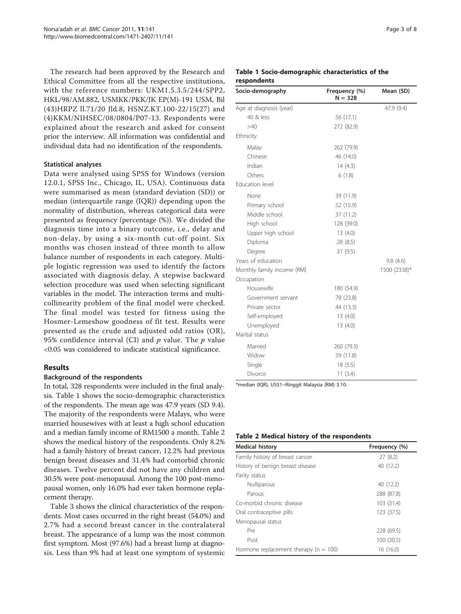The research had been approved by the Research and Ethical Committee from all the respective institutions, with the reference numbers: UKM1.5.3.5/244/SPP2, HKL/98/AM.882, USMKK/PKK/JK EP(M)-191 USM, Bil (43)HRPZ ll.71/20 Jld.8, HSNZ.KT.100-22/15(27) and (4)KKM/NIHSEC/08/0804/P07-13. Respondents were explained about the research and asked for consent prior the interview. All information was confidential and individual data had no identification of the respondents.

## Statistical analyses

Data were analysed using SPSS for Windows (version 12.0.1, SPSS Inc., Chicago, IL, USA). Continuous data were summarised as mean (standard deviation (SD)) or median (interquartile range (IQR)) depending upon the normality of distribution, whereas categorical data were presented as frequency (percentage (%)). We divided the diagnosis time into a binary outcome, i.e., delay and non-delay, by using a six-month cut-off point. Six months was chosen instead of three month to allow balance number of respondents in each category. Multiple logistic regression was used to identify the factors associated with diagnosis delay. A stepwise backward selection procedure was used when selecting significant variables in the model. The interaction terms and multicollinearity problem of the final model were checked. The final model was tested for fitness using the Hosmer-Lemeshow goodness of fit test. Results were presented as the crude and adjusted odd ratios (OR), 95% confidence interval (CI) and  $p$  value. The  $p$  value <0.05 was considered to indicate statistical significance.

## Results

## Background of the respondents

In total, 328 respondents were included in the final analysis. Table 1 shows the socio-demographic characteristics of the respondents. The mean age was 47.9 years (SD 9.4). The majority of the respondents were Malays, who were married housewives with at least a high school education and a median family income of RM1500 a month. Table 2 shows the medical history of the respondents. Only 8.2% had a family history of breast cancer, 12.2% had previous benign breast diseases and 31.4% had comorbid chronic diseases. Twelve percent did not have any children and 30.5% were post-menopausal. Among the 100 post-menopausal women, only 16.0% had ever taken hormone replacement therapy.

Table [3](#page-3-0) shows the clinical characteristics of the respondents. Most cases occurred in the right breast (54.0%) and 2.7% had a second breast cancer in the contralateral breast. The appearance of a lump was the most common first symptom. Most (97.6%) had a breast lump at diagnosis. Less than 9% had at least one symptom of systemic

## Table 1 Socio-demographic characteristics of the respondents

| Socio-demography           | Frequency (%)<br>$N = 328$ | Mean (SD)    |  |
|----------------------------|----------------------------|--------------|--|
| Age at diagnosis (year)    |                            | 47.9 (9.4)   |  |
| 40 & less                  | 56 (17.1)                  |              |  |
| >40                        | 272 (82.9)                 |              |  |
| Ethnicity                  |                            |              |  |
| Malay                      | 262 (79.9)                 |              |  |
| Chinese                    | 46 (14.0)                  |              |  |
| Indian                     | 14(4.3)                    |              |  |
| Others                     | 6(1.8)                     |              |  |
| Education level            |                            |              |  |
| None                       | 39 (11.9)                  |              |  |
| Primary school             | 52 (15.9)                  |              |  |
| Middle school              | 37 (11.2)                  |              |  |
| High school                | 128 (39.0)                 |              |  |
| Upper high school          | 13(4.0)                    |              |  |
| Diploma                    | 28 (8.5)                   |              |  |
| Degree                     | 31 (9.5)                   |              |  |
| Years of education         |                            | 9.8(4.6)     |  |
| Monthly family income (RM) |                            | 1500 (2338)* |  |
| Occupation                 |                            |              |  |
| Housewife                  | 180 (54.9)                 |              |  |
| Government servant         | 78 (23.8)                  |              |  |
| Private sector             | 44 (13.3)                  |              |  |
| Self-employed              | 13(4.0)                    |              |  |
| Unemployed                 | 13(4.0)                    |              |  |
| Marital status             |                            |              |  |
| Married                    | 260 (79.3)                 |              |  |
| Widow                      | 39 (11.8)                  |              |  |
| Single                     | 18(5.5)                    |              |  |
| Divorce                    | 11(3.4)                    |              |  |

\*median (IQR), US\$1~Ringgit Malaysia (RM) 3.10.

## Table 2 Medical history of the respondents

| <b>Medical history</b>                    | Frequency (%) |  |  |
|-------------------------------------------|---------------|--|--|
| Family history of breast cancer           | 27(8.2)       |  |  |
| History of benign breast disease          | 40 (12.2)     |  |  |
| Parity status                             |               |  |  |
| Nulliparous                               | 40 (12.2)     |  |  |
| Parous                                    | 288 (87.8)    |  |  |
| Co-morbid chronic disease                 | 103(31.4)     |  |  |
| Oral contraceptive pills                  | 123 (37.5)    |  |  |
| Menopausal status                         |               |  |  |
| Pre                                       | 228 (69.5)    |  |  |
| Post                                      | 100 (30.5)    |  |  |
| Hormone replacement therapy ( $n = 100$ ) | 16 (16.0)     |  |  |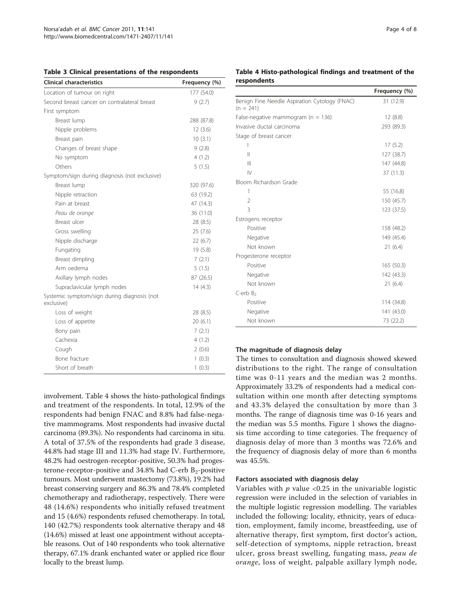<span id="page-3-0"></span>

|  |  |  | Table 3 Clinical presentations of the respondents |  |  |  |
|--|--|--|---------------------------------------------------|--|--|--|
|--|--|--|---------------------------------------------------|--|--|--|

| <b>Clinical characteristics</b>                           | Frequency (%) |
|-----------------------------------------------------------|---------------|
| Location of tumour on right                               | 177 (54.0)    |
| Second breast cancer on contralateral breast              | 9(2.7)        |
| First symptom                                             |               |
| Breast lump                                               | 288 (87.8)    |
| Nipple problems                                           | 12(3.6)       |
| Breast pain                                               | 10(3.1)       |
| Changes of breast shape                                   | 9(2.8)        |
| No symptom                                                | 4(1.2)        |
| Others                                                    | 5(1.5)        |
| Symptom/sign during diagnosis (not exclusive)             |               |
| Breast lump                                               | 320 (97.6)    |
| Nipple retraction                                         | 63 (19.2)     |
| Pain at breast                                            | 47 (14.3)     |
| Peau de orange                                            | 36 (11.0)     |
| Breast ulcer                                              | 28 (8.5)      |
| Gross swelling                                            | 25(7.6)       |
| Nipple discharge                                          | 22(6.7)       |
| Fungating                                                 | 19 (5.8)      |
| Breast dimpling                                           | 7(2.1)        |
| Arm oedema                                                | 5(1.5)        |
| Axillary lymph nodes                                      | 87 (26.5)     |
| Supraclavicular lymph nodes                               | 14(4.3)       |
| Systemic symptom/sign during diagnosis (not<br>exclusive) |               |
| Loss of weight                                            | 28 (8.5)      |
| Loss of appetite                                          | 20(6.1)       |
| Bony pain                                                 | 7(2.1)        |
| Cachexia                                                  | 4(1.2)        |
| Cough                                                     | 2(0.6)        |
| Bone fracture                                             | 1(0.3)        |
| Short of breath                                           | 1(0.3)        |

involvement. Table 4 shows the histo-pathological findings and treatment of the respondents. In total, 12.9% of the respondents had benign FNAC and 8.8% had false-negative mammograms. Most respondents had invasive ductal carcinoma (89.3%). No respondents had carcinoma in situ. A total of 37.5% of the respondents had grade 3 disease, 44.8% had stage III and 11.3% had stage IV. Furthermore, 48.2% had oestrogen-receptor-positive, 50.3% had progesterone-receptor-positive and  $34.8\%$  had C-erb B<sub>2</sub>-positive tumours. Most underwent mastectomy (73.8%), 19.2% had breast conserving surgery and 86.3% and 78.4% completed chemotherapy and radiotherapy, respectively. There were 48 (14.6%) respondents who initially refused treatment and 15 (4.6%) respondents refused chemotherapy. In total, 140 (42.7%) respondents took alternative therapy and 48 (14.6%) missed at least one appointment without acceptable reasons. Out of 140 respondents who took alternative therapy, 67.1% drank enchanted water or applied rice flour locally to the breast lump.

## Table 4 Histo-pathological findings and treatment of the respondents

|                                                              | Frequency (%) |
|--------------------------------------------------------------|---------------|
| Benign Fine Needle Aspiration Cytology (FNAC)<br>$(n = 241)$ | 31 (12.9)     |
| False-negative mammogram ( $n = 136$ )                       | 12(8.8)       |
| Invasive ductal carcinoma                                    | 293 (89.3)    |
| Stage of breast cancer                                       |               |
|                                                              | 17(5.2)       |
| $\mathbb{I}$                                                 | 127 (38.7)    |
| $\mathbf{III}$                                               | 147 (44.8)    |
| $\mathsf{IV}$                                                | 37 (11.3)     |
| Bloom Richardson Grade                                       |               |
| 1                                                            | 55 (16.8)     |
| $\overline{2}$                                               | 150 (45.7)    |
| 3                                                            | 123 (37.5)    |
| Estrogens receptor                                           |               |
| Positive                                                     | 158 (48.2)    |
| Negative                                                     | 149 (45.4)    |
| Not known                                                    | 21(6.4)       |
| Progesterone receptor                                        |               |
| Positive                                                     | 165 (50.3)    |
| Negative                                                     | 142 (43.3)    |
| Not known                                                    | 21(6.4)       |
| C-erb $B_2$                                                  |               |
| Positive                                                     | 114 (34.8)    |
| Negative                                                     | 141 (43.0)    |
| Not known                                                    | 73 (22.2)     |

## The magnitude of diagnosis delay

The times to consultation and diagnosis showed skewed distributions to the right. The range of consultation time was 0-11 years and the median was 2 months. Approximately 33.2% of respondents had a medical consultation within one month after detecting symptoms and 43.3% delayed the consultation by more than 3 months. The range of diagnosis time was 0-16 years and the median was 5.5 months. Figure [1](#page-4-0) shows the diagnosis time according to time categories. The frequency of diagnosis delay of more than 3 months was 72.6% and the frequency of diagnosis delay of more than 6 months was 45.5%.

### Factors associated with diagnosis delay

Variables with  $p$  value <0.25 in the univariable logistic regression were included in the selection of variables in the multiple logistic regression modelling. The variables included the following: locality, ethnicity, years of education, employment, family income, breastfeeding, use of alternative therapy, first symptom, first doctor's action, self-detection of symptoms, nipple retraction, breast ulcer, gross breast swelling, fungating mass, peau de orange, loss of weight, palpable axillary lymph node,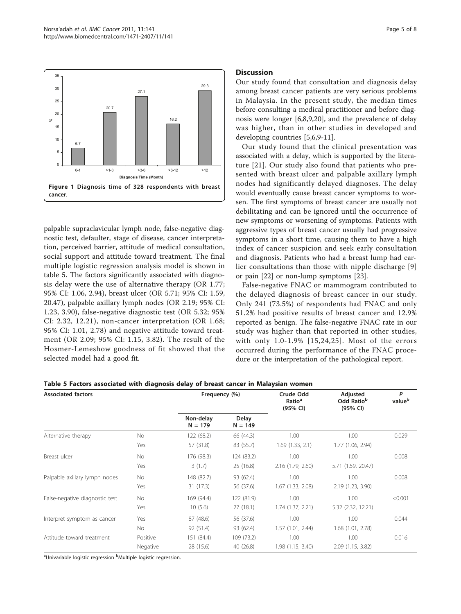<span id="page-4-0"></span>

palpable supraclavicular lymph node, false-negative diagnostic test, defaulter, stage of disease, cancer interpretation, perceived barrier, attitude of medical consultation, social support and attitude toward treatment. The final multiple logistic regression analysis model is shown in table 5. The factors significantly associated with diagnosis delay were the use of alternative therapy (OR 1.77; 95% CI: 1.06, 2.94), breast ulcer (OR 5.71; 95% CI: 1.59, 20.47), palpable axillary lymph nodes (OR 2.19; 95% CI: 1.23, 3.90), false-negative diagnostic test (OR 5.32; 95% CI: 2.32, 12.21), non-cancer interpretation (OR 1.68; 95% CI: 1.01, 2.78) and negative attitude toward treatment (OR 2.09; 95% CI: 1.15, 3.82). The result of the Hosmer-Lemeshow goodness of fit showed that the selected model had a good fit.

## **Discussion**

Our study found that consultation and diagnosis delay among breast cancer patients are very serious problems in Malaysia. In the present study, the median times before consulting a medical practitioner and before diagnosis were longer [\[6,8](#page-6-0),[9](#page-6-0),[20\]](#page-7-0), and the prevalence of delay was higher, than in other studies in developed and developing countries [[5,6,9-11](#page-6-0)].

Our study found that the clinical presentation was associated with a delay, which is supported by the literature [[21\]](#page-7-0). Our study also found that patients who presented with breast ulcer and palpable axillary lymph nodes had significantly delayed diagnoses. The delay would eventually cause breast cancer symptoms to worsen. The first symptoms of breast cancer are usually not debilitating and can be ignored until the occurrence of new symptoms or worsening of symptoms. Patients with aggressive types of breast cancer usually had progressive symptoms in a short time, causing them to have a high index of cancer suspicion and seek early consultation and diagnosis. Patients who had a breast lump had earlier consultations than those with nipple discharge [\[9](#page-6-0)] or pain [[22](#page-7-0)] or non-lump symptoms [[23](#page-7-0)].

False-negative FNAC or mammogram contributed to the delayed diagnosis of breast cancer in our study. Only 241 (73.5%) of respondents had FNAC and only 51.2% had positive results of breast cancer and 12.9% reported as benign. The false-negative FNAC rate in our study was higher than that reported in other studies, with only 1.0-1.9% [[15,24](#page-7-0),[25\]](#page-7-0). Most of the errors occurred during the performance of the FNAC procedure or the interpretation of the pathological report.

| <b>Associated factors</b>      |          | Frequency (%)          |                           | Crude Odd<br>Ratio <sup>a</sup><br>(95% CI) | Adjusted<br>Odd Ratio <sup>b</sup><br>(95% CI) | P<br>valueb |
|--------------------------------|----------|------------------------|---------------------------|---------------------------------------------|------------------------------------------------|-------------|
|                                |          | Non-delay<br>$N = 179$ | <b>Delay</b><br>$N = 149$ |                                             |                                                |             |
| Alternative therapy            | No       | 122 (68.2)             | 66 (44.3)                 | 1.00                                        | 1.00                                           | 0.029       |
|                                | Yes      | 57 (31.8)              | 83 (55.7)                 | 1.69(1.33, 2.1)                             | 1.77 (1.06, 2.94)                              |             |
| Breast ulcer                   | No       | 176 (98.3)             | 124 (83.2)                | 1.00                                        | 1.00                                           | 0.008       |
|                                | Yes      | 3(1.7)                 | 25(16.8)                  | 2.16 (1.79, 2.60)                           | 5.71 (1.59, 20.47)                             |             |
| Palpable axillary lymph nodes  | No.      | 148 (82.7)             | 93 (62.4)                 | 1.00                                        | 1.00                                           | 0.008       |
|                                | Yes      | 31 (17.3)              | 56 (37.6)                 | 1.67 (1.33, 2.08)                           | 2.19 (1.23, 3.90)                              |             |
| False-negative diagnostic test | No       | 169 (94.4)             | 122 (81.9)                | 1.00                                        | 1.00                                           | < 0.001     |
|                                | Yes      | 10(5.6)                | 27(18.1)                  | 1.74 (1.37, 2.21)                           | 5.32 (2.32, 12.21)                             |             |
| Interpret symptom as cancer    | Yes      | 87 (48.6)              | 56 (37.6)                 | 1.00                                        | 1.00                                           | 0.044       |
|                                | No.      | 92 (51.4)              | 93 (62.4)                 | 1.57 (1.01, 2.44)                           | 1.68 (1.01, 2.78)                              |             |
| Attitude toward treatment      | Positive | 151 (84.4)             | 109 (73.2)                | 1.00                                        | 1.00                                           | 0.016       |
|                                | Negative | 28 (15.6)              | 40 (26.8)                 | 1.98 (1.15, 3.40)                           | 2.09 (1.15, 3.82)                              |             |

## Table 5 Factors associated with diagnosis delay of breast cancer in Malaysian women

<sup>a</sup>Univariable logistic regression <sup>b</sup>Multiple logistic regression.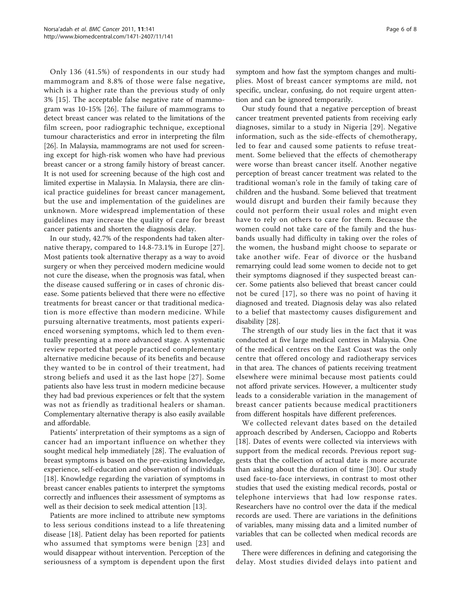Only 136 (41.5%) of respondents in our study had mammogram and 8.8% of those were false negative, which is a higher rate than the previous study of only 3% [\[15](#page-7-0)]. The acceptable false negative rate of mammogram was 10-15% [[26\]](#page-7-0). The failure of mammograms to detect breast cancer was related to the limitations of the film screen, poor radiographic technique, exceptional tumour characteristics and error in interpreting the film [[26\]](#page-7-0). In Malaysia, mammograms are not used for screening except for high-risk women who have had previous breast cancer or a strong family history of breast cancer. It is not used for screening because of the high cost and limited expertise in Malaysia. In Malaysia, there are clinical practice guidelines for breast cancer management, but the use and implementation of the guidelines are unknown. More widespread implementation of these guidelines may increase the quality of care for breast cancer patients and shorten the diagnosis delay.

In our study, 42.7% of the respondents had taken alternative therapy, compared to 14.8-73.1% in Europe [[27](#page-7-0)]. Most patients took alternative therapy as a way to avoid surgery or when they perceived modern medicine would not cure the disease, when the prognosis was fatal, when the disease caused suffering or in cases of chronic disease. Some patients believed that there were no effective treatments for breast cancer or that traditional medication is more effective than modern medicine. While pursuing alternative treatments, most patients experienced worsening symptoms, which led to them eventually presenting at a more advanced stage. A systematic review reported that people practiced complementary alternative medicine because of its benefits and because they wanted to be in control of their treatment, had strong beliefs and used it as the last hope [[27\]](#page-7-0). Some patients also have less trust in modern medicine because they had bad previous experiences or felt that the system was not as friendly as traditional healers or shaman. Complementary alternative therapy is also easily available and affordable.

Patients' interpretation of their symptoms as a sign of cancer had an important influence on whether they sought medical help immediately [[28\]](#page-7-0). The evaluation of breast symptoms is based on the pre-existing knowledge, experience, self-education and observation of individuals [[18](#page-7-0)]. Knowledge regarding the variation of symptoms in breast cancer enables patients to interpret the symptoms correctly and influences their assessment of symptoms as well as their decision to seek medical attention [\[13\]](#page-7-0).

Patients are more inclined to attribute new symptoms to less serious conditions instead to a life threatening disease [[18](#page-7-0)]. Patient delay has been reported for patients who assumed that symptoms were benign [[23\]](#page-7-0) and would disappear without intervention. Perception of the seriousness of a symptom is dependent upon the first symptom and how fast the symptom changes and multiplies. Most of breast cancer symptoms are mild, not specific, unclear, confusing, do not require urgent attention and can be ignored temporarily.

Our study found that a negative perception of breast cancer treatment prevented patients from receiving early diagnoses, similar to a study in Nigeria [[29](#page-7-0)]. Negative information, such as the side-effects of chemotherapy, led to fear and caused some patients to refuse treatment. Some believed that the effects of chemotherapy were worse than breast cancer itself. Another negative perception of breast cancer treatment was related to the traditional woman's role in the family of taking care of children and the husband. Some believed that treatment would disrupt and burden their family because they could not perform their usual roles and might even have to rely on others to care for them. Because the women could not take care of the family and the husbands usually had difficulty in taking over the roles of the women, the husband might choose to separate or take another wife. Fear of divorce or the husband remarrying could lead some women to decide not to get their symptoms diagnosed if they suspected breast cancer. Some patients also believed that breast cancer could not be cured [[17\]](#page-7-0), so there was no point of having it diagnosed and treated. Diagnosis delay was also related to a belief that mastectomy causes disfigurement and disability [\[28\]](#page-7-0).

The strength of our study lies in the fact that it was conducted at five large medical centres in Malaysia. One of the medical centres on the East Coast was the only centre that offered oncology and radiotherapy services in that area. The chances of patients receiving treatment elsewhere were minimal because most patients could not afford private services. However, a multicenter study leads to a considerable variation in the management of breast cancer patients because medical practitioners from different hospitals have different preferences.

We collected relevant dates based on the detailed approach described by Andersen, Cacioppo and Roberts [[18](#page-7-0)]. Dates of events were collected via interviews with support from the medical records. Previous report suggests that the collection of actual date is more accurate than asking about the duration of time [[30\]](#page-7-0). Our study used face-to-face interviews, in contrast to most other studies that used the existing medical records, postal or telephone interviews that had low response rates. Researchers have no control over the data if the medical records are used. There are variations in the definitions of variables, many missing data and a limited number of variables that can be collected when medical records are used.

There were differences in defining and categorising the delay. Most studies divided delays into patient and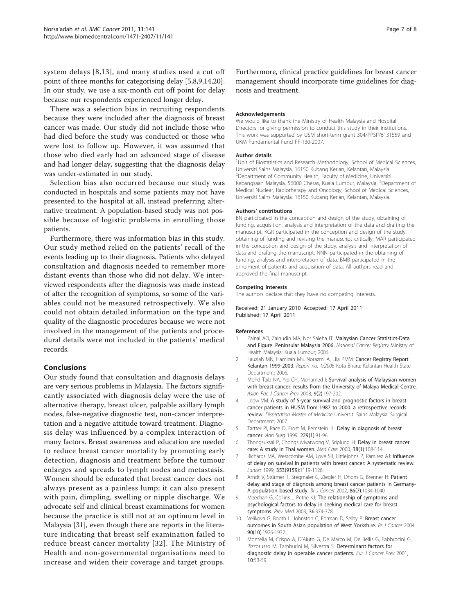<span id="page-6-0"></span>system delays [8,[13\]](#page-7-0), and many studies used a cut off point of three months for categorising delay [5,8,9[,14,20](#page-7-0)]. In our study, we use a six-month cut off point for delay because our respondents experienced longer delay.

There was a selection bias in recruiting respondents because they were included after the diagnosis of breast cancer was made. Our study did not include those who had died before the study was conducted or those who were lost to follow up. However, it was assumed that those who died early had an advanced stage of disease and had longer delay, suggesting that the diagnosis delay was under-estimated in our study.

Selection bias also occurred because our study was conducted in hospitals and some patients may not have presented to the hospital at all, instead preferring alternative treatment. A population-based study was not possible because of logistic problems in enrolling those patients.

Furthermore, there was information bias in this study. Our study method relied on the patients' recall of the events leading up to their diagnosis. Patients who delayed consultation and diagnosis needed to remember more distant events than those who did not delay. We interviewed respondents after the diagnosis was made instead of after the recognition of symptoms, so some of the variables could not be measured retrospectively. We also could not obtain detailed information on the type and quality of the diagnostic procedures because we were not involved in the management of the patients and procedural details were not included in the patients' medical records.

## Conclusions

Our study found that consultation and diagnosis delays are very serious problems in Malaysia. The factors significantly associated with diagnosis delay were the use of alternative therapy, breast ulcer, palpable axillary lymph nodes, false-negative diagnostic test, non-cancer interpretation and a negative attitude toward treatment. Diagnosis delay was influenced by a complex interaction of many factors. Breast awareness and education are needed to reduce breast cancer mortality by promoting early detection, diagnosis and treatment before the tumour enlarges and spreads to lymph nodes and metastasis. Women should be educated that breast cancer does not always present as a painless lump; it can also present with pain, dimpling, swelling or nipple discharge. We advocate self and clinical breast examinations for women because the practice is still not at an optimum level in Malaysia [\[31\]](#page-7-0), even though there are reports in the literature indicating that breast self examination failed to reduce breast cancer mortality [[32\]](#page-7-0). The Ministry of Health and non-governmental organisations need to increase and widen their coverage and target groups.

Furthermore, clinical practice guidelines for breast cancer management should incorporate time guidelines for diagnosis and treatment.

#### Acknowledgements

We would like to thank the Ministry of Health Malaysia and Hospital Directors for giving permission to conduct this study in their institutions. This work was supported by USM short-term grant 304/PPSP/6131559 and UKM Fundamental Fund FF-130-2007.

#### Author details

<sup>1</sup>Unit of Biostatistics and Research Methodology, School of Medical Sciences, Universiti Sains Malaysia, 16150 Kubang Kerian, Kelantan, Malaysia. 2 Department of Community Health, Faculty of Medicine, Universiti Kebangsaan Malaysia, 56000 Cheras, Kuala Lumpur, Malaysia. <sup>3</sup>Department of Medical Nuclear, Radiotherapy and Oncology, School of Medical Sciences, Universiti Sains Malaysia, 16150 Kubang Kerian, Kelantan, Malaysia.

#### Authors' contributions

BN participated in the conception and design of the study, obtaining of funding, acquisition, analysis and interpretation of the data and drafting the manuscript. KGR participated in the conception and design of the study, obtaining of funding and revising the manuscript critically. MAR participated in the conception and design of the study, analysis and interpretation of data and drafting the manuscript. NNN participated in the obtaining of funding, analysis and interpretation of data. BMB participated in the enrolment of patients and acquisition of data. All authors read and approved the final manuscript.

#### Competing interests

The authors declare that they have no competing interests.

#### Received: 21 January 2010 Accepted: 17 April 2011 Published: 17 April 2011

#### References

- 1. Zainal AO, Zainudin MA, Nor Saleha IT: Malaysian Cancer Statistics-Data and Figure. Peninsular Malaysia 2006. National Cancer Registry Ministry of Health Malaysia: Kuala Lumpur; 2006.
- 2. Fauziah MN, Hamizah MS, Norazmi A, Lila PMM: Cancer Registry Report Kelantan 1999-2003. Report no. 1/2006 Kota Bharu: Kelantan Health State Department: 2006.
- 3. Mohd Taib NA, Yip CH, Mohamed I: [Survival analysis of Malaysian women](http://www.ncbi.nlm.nih.gov/pubmed/18712958?dopt=Abstract) [with breast cancer: results from the University of Malaya Medical Centre.](http://www.ncbi.nlm.nih.gov/pubmed/18712958?dopt=Abstract) Asian Pac J Cancer Prev 2008, 9(2):197-202.
- 4. Leow VM: A study of 5-year survival and prognostic factors in breast cancer patients in HUSM from 1987 to 2000: a retrospective records review. Dissertation Master of Medicine Universiti Sains Malaysia: Surgical Department; 2007.
- 5. Tartter PI, Pace D, Frost M, Bernstein JL: [Delay in diagnosis of breast](http://www.ncbi.nlm.nih.gov/pubmed/9923805?dopt=Abstract) [cancer.](http://www.ncbi.nlm.nih.gov/pubmed/9923805?dopt=Abstract) Ann Surg 1999, 229(1):91-96.
- 6. Thongsuksai P, Chongsuvivatwong V, Sriplung H: [Delay in breast cancer](http://www.ncbi.nlm.nih.gov/pubmed/10630725?dopt=Abstract) [care: A study in Thai women.](http://www.ncbi.nlm.nih.gov/pubmed/10630725?dopt=Abstract) Med Care 2000, 38(1):108-114.
- Richards MA, Westcombe AM, Love SB, Littlejohns P, Ramirez AJ: [Influence](http://www.ncbi.nlm.nih.gov/pubmed/10209974?dopt=Abstract) [of delay on survival in patients with breast cancer: A systematic review.](http://www.ncbi.nlm.nih.gov/pubmed/10209974?dopt=Abstract) Lancet 1999, 353(9159):1119-1126.
- 8. Arndt V, Stürmer T, Stegmaier C, Ziegler H, Dhom G, Brenner H: [Patient](http://www.ncbi.nlm.nih.gov/pubmed/11953844?dopt=Abstract) [delay and stage of diagnosis among breast cancer patients in Germany-](http://www.ncbi.nlm.nih.gov/pubmed/11953844?dopt=Abstract)[A population based study.](http://www.ncbi.nlm.nih.gov/pubmed/11953844?dopt=Abstract) Br J Cancer 2002, 86(7):1034-1040.
- 9. Meechan G, Collins J, Petrie KJ: [The relationship of symptoms and](http://www.ncbi.nlm.nih.gov/pubmed/12634028?dopt=Abstract) [psychological factors to delay in seeking medical care for breast](http://www.ncbi.nlm.nih.gov/pubmed/12634028?dopt=Abstract) [symptoms.](http://www.ncbi.nlm.nih.gov/pubmed/12634028?dopt=Abstract) Prev Med 2003, 36:374-378.
- 10. Velikova G, Booth L, Johnston C, Forman D, Selby P: [Breast cancer](http://www.ncbi.nlm.nih.gov/pubmed/15138473?dopt=Abstract) [outcomes in South Asian population of West Yorkshire.](http://www.ncbi.nlm.nih.gov/pubmed/15138473?dopt=Abstract) Br J Cancer 2004, 90(10):1926-1932.
- 11. Montella M, Crispo A, D'Aiuto G, De Marco M, De Bellis G, Fabbrocini G, Pizzorusso M, Tamburini M, Silvestra S: [Determinant factors for](http://www.ncbi.nlm.nih.gov/pubmed/11263591?dopt=Abstract) [diagnostic delay in operable cancer patients.](http://www.ncbi.nlm.nih.gov/pubmed/11263591?dopt=Abstract) Eur J Cancer Prev 2001, 10:53-59.